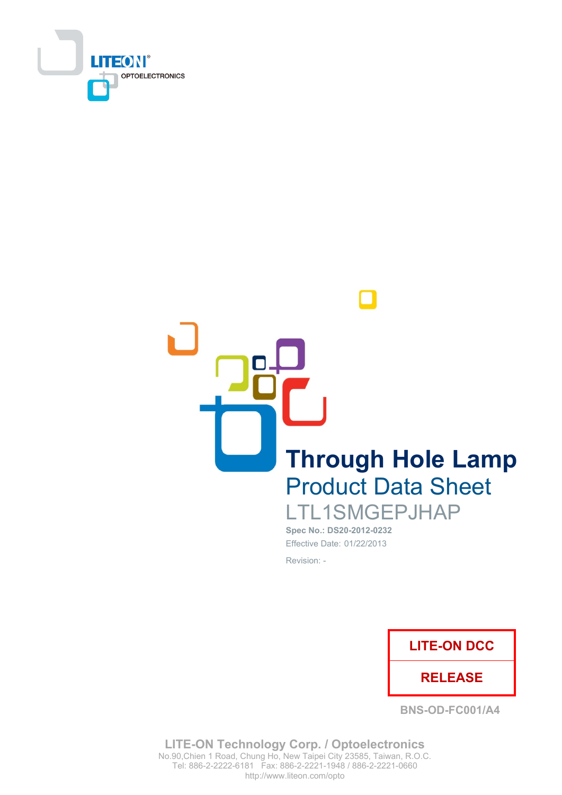

**Through Hole Lamp Product Data Sheet** LTL1SMGEPJHAP

Spec No.: DS20-2012-0232 Effective Date: 01/22/2013 Revision: -



**BNS-OD-FC001/A4** 

**LITE-ON Technology Corp. / Optoelectronics** No.90, Chien 1 Road, Chung Ho, New Taipei City 23585, Taiwan, R.O.C. Tel: 886-2-2222-6181 Fax: 886-2-2221-1948 / 886-2-2221-0660 http://www.liteon.com/opto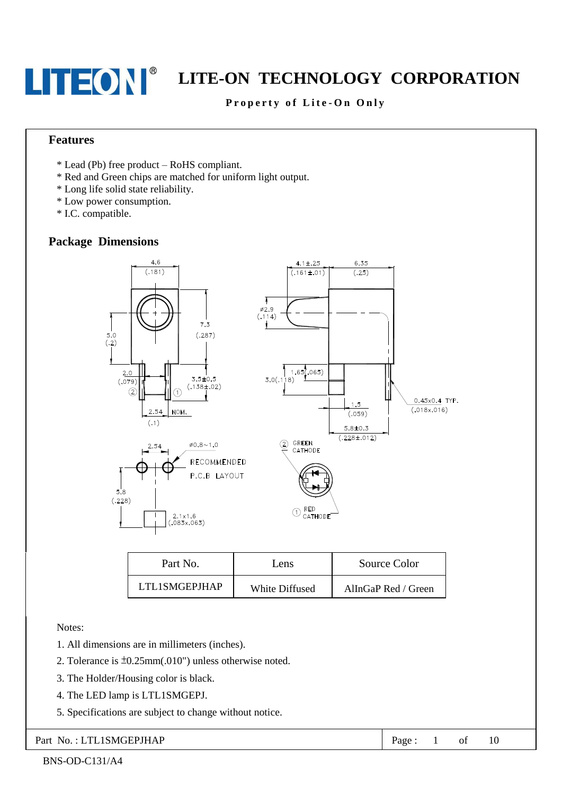### LITEON EXTE-ON TECHNOLOGY CORPORATION

#### Property of Lite-On Only

#### **Features**

- \* Lead (Pb) free product RoHS compliant.
- \* Red and Green chips are matched for uniform light output.
- \* Long life solid state reliability.
- \* Low power consumption.
- \* I.C. compatible.

#### **Package Dimensions**



| Part No.      | Lens           | Source Color        |
|---------------|----------------|---------------------|
| LTL1SMGEPJHAP | White Diffused | AllnGaP Red / Green |

Notes:

- 1. All dimensions are in millimeters (inches).
- 2. Tolerance is  $\pm 0.25$ mm(.010") unless otherwise noted.
- 3. The Holder/Housing color is black.
- 4. The LED lamp is LTL1SMGEPJ.
- 5. Specifications are subject to change without notice.

#### Part No.: LTL1SMGEPJHAP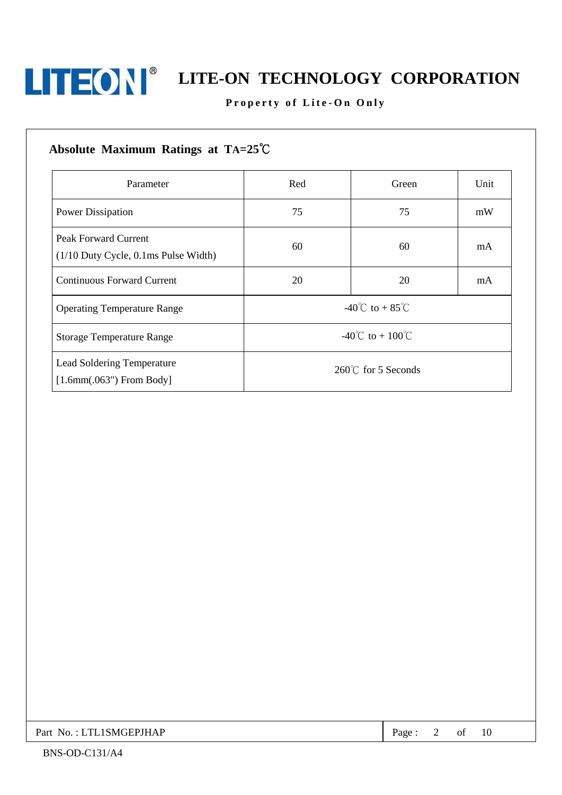

## LITEON <sup>®</sup> LITE-ON TECHNOLOGY CORPORATION

Property of Lite-On Only

| Parameter                                                             | Red                                       | Green | Unit |
|-----------------------------------------------------------------------|-------------------------------------------|-------|------|
| <b>Power Dissipation</b>                                              | 75                                        | 75    | mW   |
| <b>Peak Forward Current</b><br>$(1/10$ Duty Cycle, 0.1ms Pulse Width) | 60                                        | 60    | mA   |
| <b>Continuous Forward Current</b>                                     | 20                                        | 20    | mA   |
| <b>Operating Temperature Range</b>                                    | -40 <sup>°</sup> C to + 85 <sup>°</sup> C |       |      |
| <b>Storage Temperature Range</b>                                      | $-40^{\circ}$ C to + 100 <sup>°</sup> C   |       |      |
| Lead Soldering Temperature<br>$[1.6mm(.063")$ From Body]              | $260^{\circ}$ C for 5 Seconds             |       |      |

Page: 2 of 10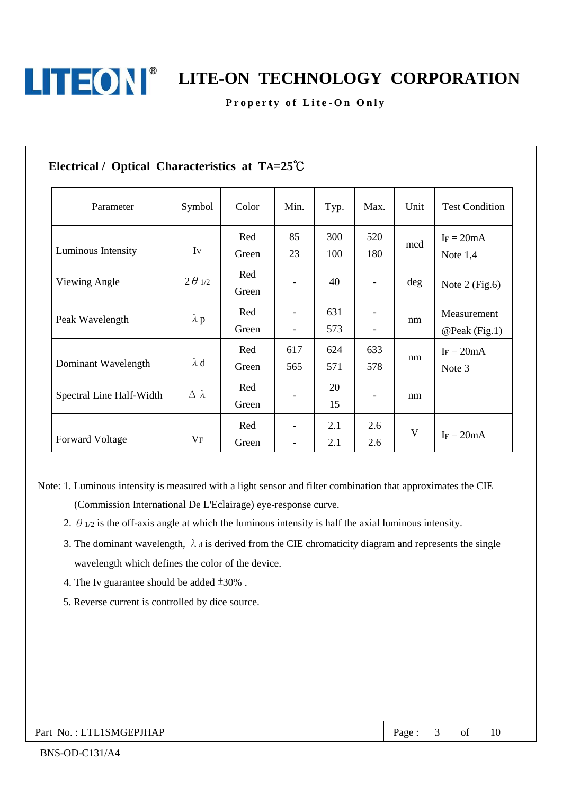

LITEON EXTE-ON TECHNOLOGY CORPORATION

Property of Lite-On Only

| Parameter                | Symbol           | Color        | Min.                     | Typ.       | Max.              | Unit | <b>Test Condition</b>        |
|--------------------------|------------------|--------------|--------------------------|------------|-------------------|------|------------------------------|
| Luminous Intensity       | Iv               | Red<br>Green | 85<br>23                 | 300<br>100 | 520<br>180        | mcd  | $I_F = 20mA$<br>Note $1,4$   |
| Viewing Angle            | $2\theta_{1/2}$  | Red<br>Green |                          | 40         |                   | deg  | Note $2$ (Fig.6)             |
| Peak Wavelength          | $\lambda$ p      | Red<br>Green | $\overline{\phantom{0}}$ | 631<br>573 |                   | nm   | Measurement<br>@Peak (Fig.1) |
| Dominant Wavelength      | $\lambda$ d      | Red<br>Green | 617<br>565               | 624<br>571 | 633<br>578        | nm   | $I_F = 20mA$<br>Note 3       |
| Spectral Line Half-Width | $\Delta \lambda$ | Red<br>Green |                          | 20<br>15   | $\qquad \qquad -$ | nm   |                              |
| <b>Forward Voltage</b>   | $V_{\mathrm{F}}$ | Red<br>Green | $\overline{\phantom{a}}$ | 2.1<br>2.1 | 2.6<br>2.6        | V    | $IF = 20mA$                  |

Note: 1. Luminous intensity is measured with a light sensor and filter combination that approximates the CIE (Commission International De L'Eclairage) eye-response curve.

- 2.  $\theta$  1/2 is the off-axis angle at which the luminous intensity is half the axial luminous intensity.
- 3. The dominant wavelength,  $\lambda_d$  is derived from the CIE chromaticity diagram and represents the single wavelength which defines the color of the device.
- 4. The Iv guarantee should be added  $\pm 30\%$ .
- 5. Reverse current is controlled by dice source.

#### Part No.: LTL1SMGEPJHAP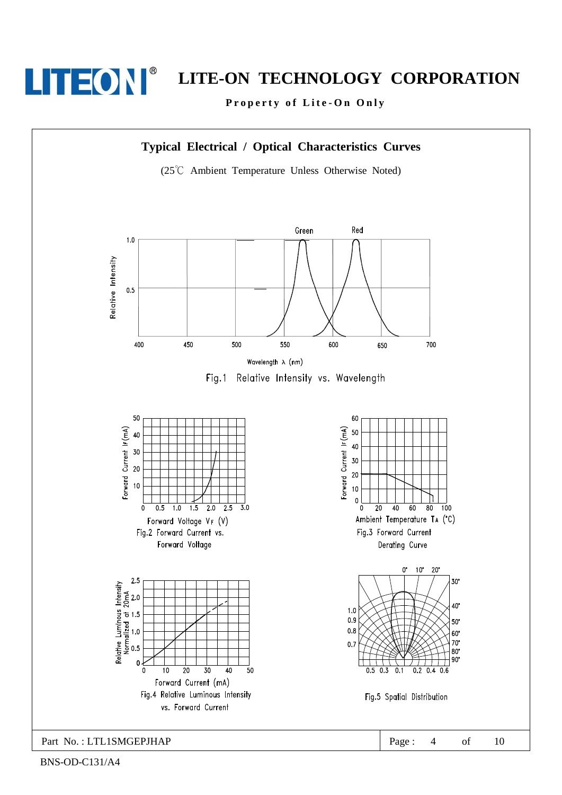

Property of Lite-On Only

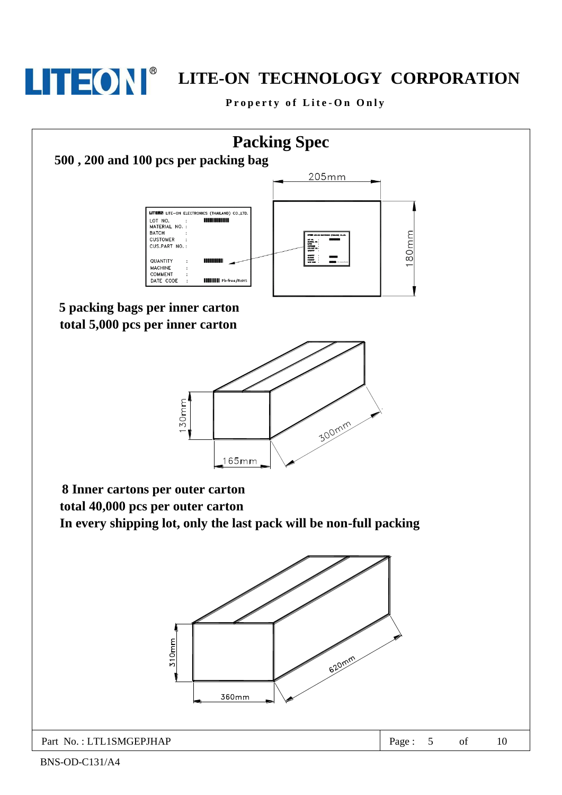

### **LITEON** LITE-ON TECHNOLOGY CORPORATION

Property of Lite-On Only

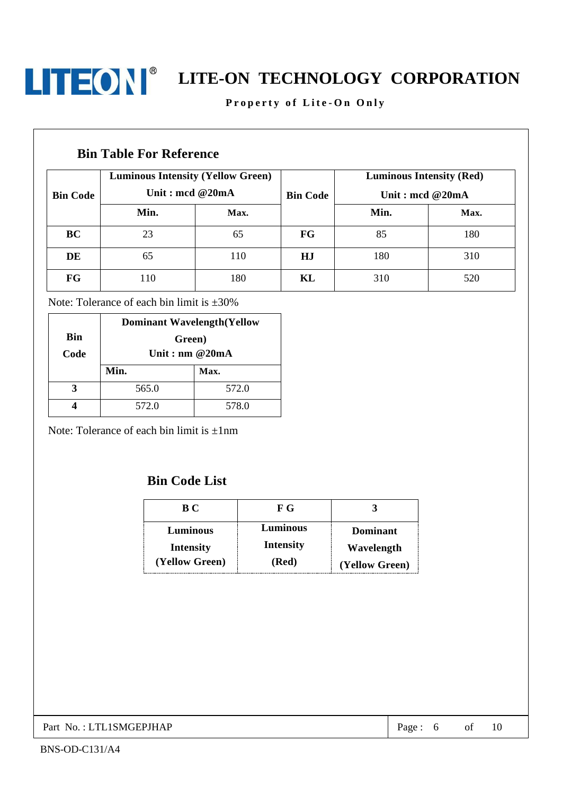

#### Property of Lite-On Only

#### **Bin Table For Reference**

| <b>Bin Code</b> | <b>Luminous Intensity (Yellow Green)</b><br>Unit: mcd $@20mA$ |      | <b>Bin Code</b> | <b>Luminous Intensity (Red)</b><br>Unit : mcd $@20mA$ |      |
|-----------------|---------------------------------------------------------------|------|-----------------|-------------------------------------------------------|------|
|                 | Min.                                                          | Max. |                 | Min.                                                  | Max. |
| BC              | 23                                                            | 65   | FG              | 85                                                    | 180  |
| DE              | 65                                                            | 110  | HJ              | 180                                                   | 310  |
| FG              | 110                                                           | 180  | KL              | 310                                                   | 520  |

Note: Tolerance of each bin limit is  $\pm 30\%$ 

|            | <b>Dominant Wavelength(Yellow</b> |       |  |
|------------|-----------------------------------|-------|--|
| <b>Bin</b> | Green)                            |       |  |
| Code       | Unit: nm $@20mA$                  |       |  |
|            | Min.                              | Max.  |  |
|            | 565.0                             | 572.0 |  |
|            | 572.0                             | 578.0 |  |

Note: Tolerance of each bin limit is  $\pm 1$ nm

### **Bin Code List**

| B C              | F G              |                 |
|------------------|------------------|-----------------|
| Luminous         | Luminous         | <b>Dominant</b> |
| <b>Intensity</b> | <b>Intensity</b> | Wavelength      |
| (Yellow Green)   | (Red)            | (Yellow Green)  |

Part No.: LTL1SMGEPJHAP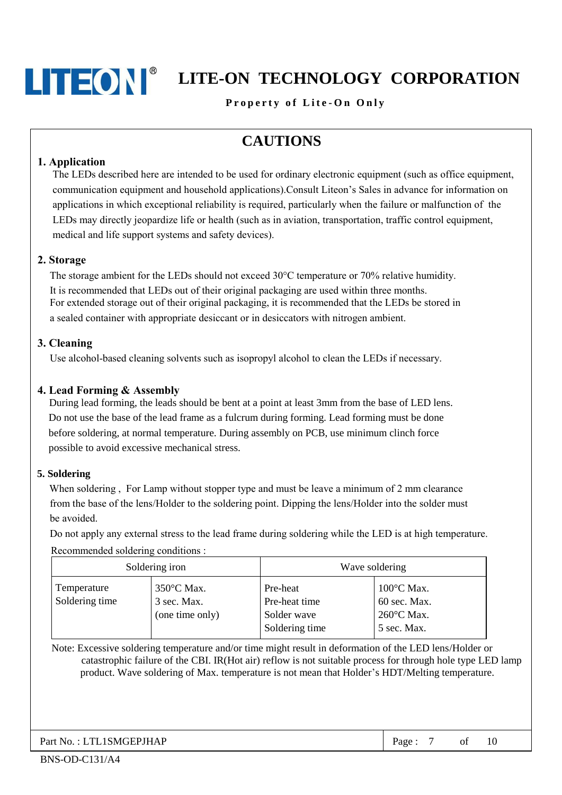### **LITEON** LITE-ON TECHNOLOGY CORPORATION

Property of Lite-On Only

### **CAUTIONS**

#### 1. Application

The LEDs described here are intended to be used for ordinary electronic equipment (such as office equipment, communication equipment and household applications). Consult Liteon's Sales in advance for information on applications in which exceptional reliability is required, particularly when the failure or malfunction of the LEDs may directly jeopardize life or health (such as in aviation, transportation, traffic control equipment, medical and life support systems and safety devices).

#### 2. Storage

The storage ambient for the LEDs should not exceed 30°C temperature or 70% relative humidity. It is recommended that LEDs out of their original packaging are used within three months. For extended storage out of their original packaging, it is recommended that the LEDs be stored in a sealed container with appropriate desiceant or in desiceators with nitrogen ambient.

#### 3. Cleaning

Use alcohol-based cleaning solvents such as isopropyl alcohol to clean the LEDs if necessary.

#### 4. Lead Forming & Assembly

During lead forming, the leads should be bent at a point at least 3mm from the base of LED lens. Do not use the base of the lead frame as a fulcrum during forming. Lead forming must be done before soldering, at normal temperature. During assembly on PCB, use minimum clinch force possible to avoid excessive mechanical stress.

#### 5. Soldering

When soldering, For Lamp without stopper type and must be leave a minimum of 2 mm clearance from the base of the lens/Holder to the soldering point. Dipping the lens/Holder into the solder must be avoided.

Do not apply any external stress to the lead frame during soldering while the LED is at high temperature.

Recommended soldering conditions :

| Soldering iron                |                                              | Wave soldering                                             |                                                                   |  |
|-------------------------------|----------------------------------------------|------------------------------------------------------------|-------------------------------------------------------------------|--|
| Temperature<br>Soldering time | 350°C Max.<br>3 sec. Max.<br>(one time only) | Pre-heat<br>Pre-heat time<br>Solder wave<br>Soldering time | $100^{\circ}$ C Max.<br>60 sec. Max.<br>260°C Max.<br>5 sec. Max. |  |

Note: Excessive soldering temperature and/or time might result in deformation of the LED lens/Holder or catastrophic failure of the CBI. IR(Hot air) reflow is not suitable process for through hole type LED lamp product. Wave soldering of Max. temperature is not mean that Holder's HDT/Melting temperature.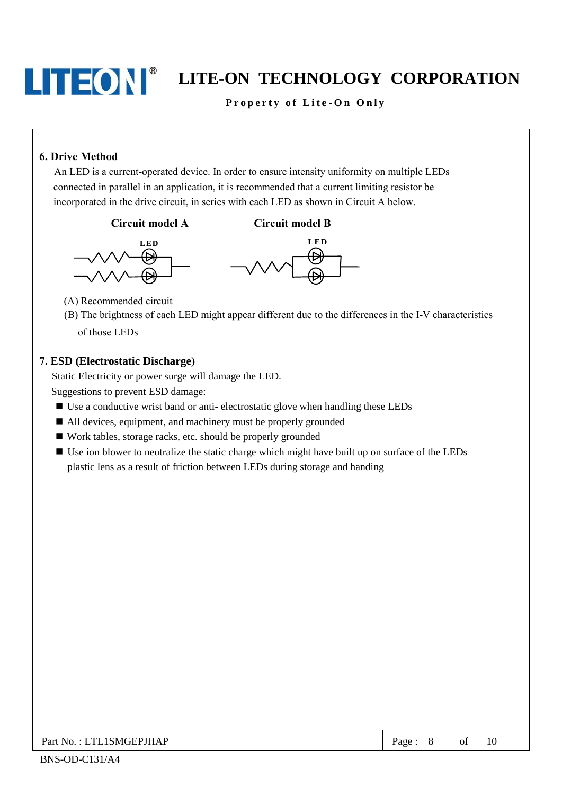Property of Lite-On Only

#### **6. Drive Method**

An LED is a current-operated device. In order to ensure intensity uniformity on multiple LEDs connected in parallel in an application, it is recommended that a current limiting resistor be incorporated in the drive circuit, in series with each LED as shown in Circuit A below.

#### Circuit model A





**Circuit model B** 

(A) Recommended circuit

(B) The brightness of each LED might appear different due to the differences in the I-V characteristics of those LEDs

#### 7. ESD (Electrostatic Discharge)

Static Electricity or power surge will damage the LED.

Suggestions to prevent ESD damage:

- Use a conductive wrist band or anti-electrostatic glove when handling these LEDs
- All devices, equipment, and machinery must be properly grounded
- Work tables, storage racks, etc. should be properly grounded
- Use ion blower to neutralize the static charge which might have built up on surface of the LEDs plastic lens as a result of friction between LEDs during storage and handing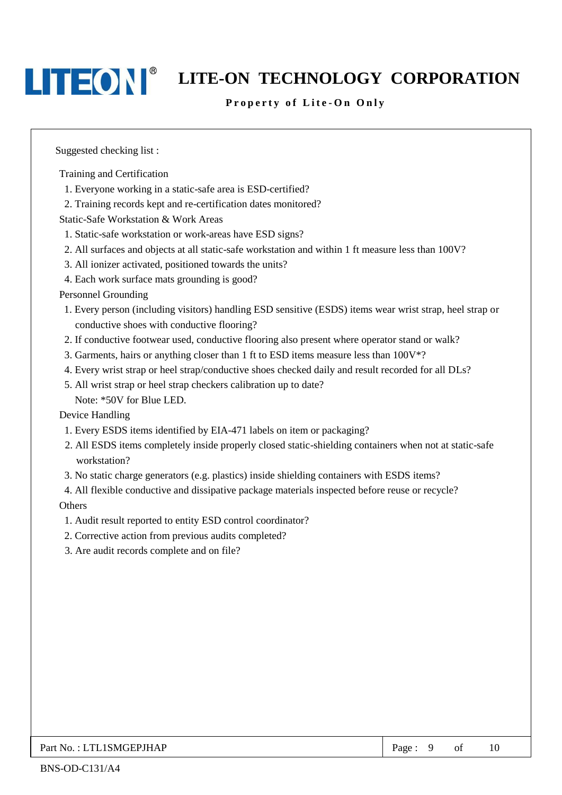### **LITEON** LITE-ON TECHNOLOGY CORPORATION

#### Property of Lite-On Only

Suggested checking list:

Training and Certification

- 1. Everyone working in a static-safe area is ESD-certified?
- 2. Training records kept and re-certification dates monitored?

Static-Safe Workstation & Work Areas

- 1. Static-safe workstation or work-areas have ESD signs?
- 2. All surfaces and objects at all static-safe workstation and within 1 ft measure less than 100V?
- 3. All ionizer activated, positioned towards the units?
- 4. Each work surface mats grounding is good?

**Personnel Grounding** 

- 1. Every person (including visitors) handling ESD sensitive (ESDS) items wear wrist strap, heel strap or conductive shoes with conductive flooring?
- 2. If conductive footwear used, conductive flooring also present where operator stand or walk?
- 3. Garments, hairs or anything closer than 1 ft to ESD items measure less than 100V\*?
- 4. Every wrist strap or heel strap/conductive shoes checked daily and result recorded for all DLs?
- 5. All wrist strap or heel strap checkers calibration up to date?
	- Note: \*50V for Blue LED.

Device Handling

- 1. Every ESDS items identified by EIA-471 labels on item or packaging?
- 2. All ESDS items completely inside properly closed static-shielding containers when not at static-safe workstation?
- 3. No static charge generators (e.g. plastics) inside shielding containers with ESDS items?
- 4. All flexible conductive and dissipative package materials inspected before reuse or recycle?

Others

- 1. Audit result reported to entity ESD control coordinator?
- 2. Corrective action from previous audits completed?
- 3. Are audit records complete and on file?

Page: 9  $\sigma$ f 10